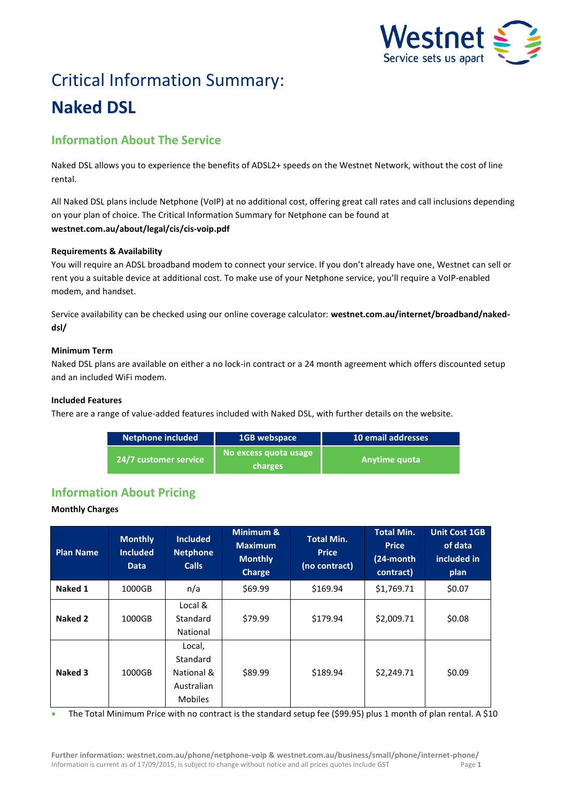

# Critical Information Summary: **Naked DSL**

# **Information About The Service**

Naked DSL allows you to experience the benefits of ADSL2+ speeds on the Westnet Network, without the cost of line rental.

All Naked DSL plans include Netphone (VoIP) at no additional cost, offering great call rates and call inclusions depending on your plan of choice. The Critical Information Summary for Netphone can be found at **westnet.com.au/about/legal/cis/cis-voip.pdf**

## **Requirements & Availability**

You will require an ADSL broadband modem to connect your service. If you don't already have one, Westnet can sell or rent you a suitable device at additional cost. To make use of your Netphone service, you'll require a VoIP-enabled modem, and handset.

Service availability can be checked using our online coverage calculator: **westnet.com.au/internet/broadband/nakeddsl/**

## **Minimum Term**

Naked DSL plans are available on either a no lock-in contract or a 24 month agreement which offers discounted setup and an included WiFi modem.

### **Included Features**

There are a range of value-added features included with Naked DSL, with further details on the website.

| <b>Netphone included</b> | 1GB webspace                     | 10 email addresses |
|--------------------------|----------------------------------|--------------------|
| 24/7 customer service    | No excess quota usage<br>charges | Anytime quota      |

# **Information About Pricing**

## **Monthly Charges**

| <b>Plan Name</b> | <b>Monthly</b><br><b>Included</b><br><b>Data</b> | <b>Included</b><br><b>Netphone</b><br><b>Calls</b>               | Minimum &<br><b>Maximum</b><br><b>Monthly</b><br><b>Charge</b> | <b>Total Min.</b><br><b>Price</b><br>(no contract) | <b>Total Min.</b><br><b>Price</b><br>(24-month<br>contract) | <b>Unit Cost 1GB</b><br>of data<br>included in<br>plan |
|------------------|--------------------------------------------------|------------------------------------------------------------------|----------------------------------------------------------------|----------------------------------------------------|-------------------------------------------------------------|--------------------------------------------------------|
| Naked 1          | 1000GB                                           | n/a                                                              | \$69.99                                                        | \$169.94                                           | \$1,769.71                                                  | \$0.07                                                 |
| Naked 2          | 1000GB                                           | Local &<br>Standard<br>National                                  | \$79.99                                                        | \$179.94                                           | \$2,009.71                                                  | \$0.08                                                 |
| Naked 3          | 1000GB                                           | Local,<br>Standard<br>National &<br>Australian<br><b>Mobiles</b> | \$89.99                                                        | \$189.94                                           | \$2,249.71                                                  | \$0.09                                                 |

The Total Minimum Price with no contract is the standard setup fee (\$99.95) plus 1 month of plan rental. A \$10